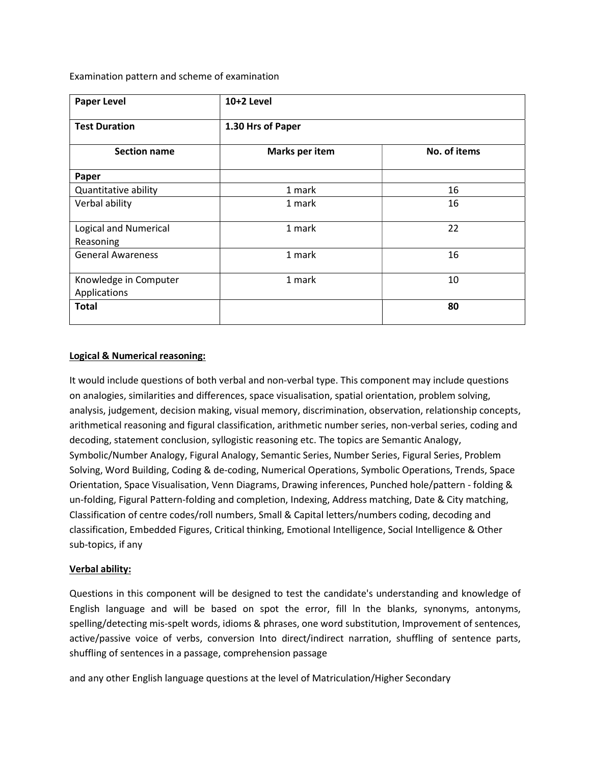Examination pattern and scheme of examination

| <b>Paper Level</b>                        | 10+2 Level        |              |
|-------------------------------------------|-------------------|--------------|
| <b>Test Duration</b>                      | 1.30 Hrs of Paper |              |
| <b>Section name</b>                       | Marks per item    | No. of items |
| Paper                                     |                   |              |
| Quantitative ability                      | 1 mark            | 16           |
| Verbal ability                            | 1 mark            | 16           |
| <b>Logical and Numerical</b><br>Reasoning | 1 mark            | 22           |
| <b>General Awareness</b>                  | 1 mark            | 16           |
| Knowledge in Computer<br>Applications     | 1 mark            | 10           |
| <b>Total</b>                              |                   | 80           |

# Logical & Numerical reasoning:

It would include questions of both verbal and non-verbal type. This component may include questions on analogies, similarities and differences, space visualisation, spatial orientation, problem solving, analysis, judgement, decision making, visual memory, discrimination, observation, relationship concepts, arithmetical reasoning and figural classification, arithmetic number series, non-verbal series, coding and decoding, statement conclusion, syllogistic reasoning etc. The topics are Semantic Analogy, Symbolic/Number Analogy, Figural Analogy, Semantic Series, Number Series, Figural Series, Problem Solving, Word Building, Coding & de-coding, Numerical Operations, Symbolic Operations, Trends, Space Orientation, Space Visualisation, Venn Diagrams, Drawing inferences, Punched hole/pattern - folding & un-folding, Figural Pattern-folding and completion, Indexing, Address matching, Date & City matching, Classification of centre codes/roll numbers, Small & Capital letters/numbers coding, decoding and classification, Embedded Figures, Critical thinking, Emotional Intelligence, Social Intelligence & Other sub-topics, if any

## Verbal ability:

Questions in this component will be designed to test the candidate's understanding and knowledge of English language and will be based on spot the error, fill ln the blanks, synonyms, antonyms, spelling/detecting mis-spelt words, idioms & phrases, one word substitution, Improvement of sentences, active/passive voice of verbs, conversion Into direct/indirect narration, shuffling of sentence parts, shuffling of sentences in a passage, comprehension passage

and any other English language questions at the level of Matriculation/Higher Secondary